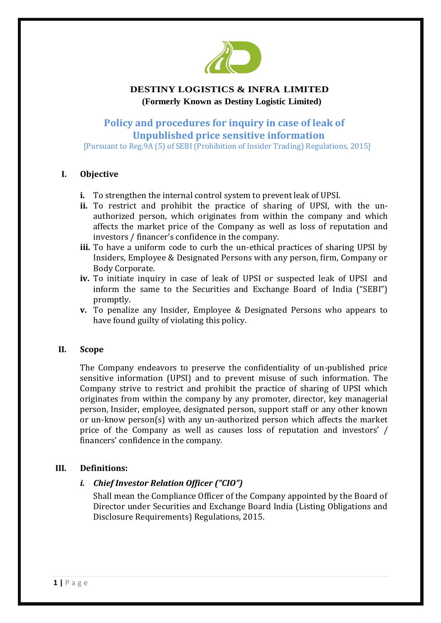

# **DESTINY LOGISTICS & INFRA LIMITED (Formerly Known as Destiny Logistic Limited)**

# **Policy and procedures for inquiry in case of leak of Unpublished price sensitive information**

[Pursuant to Reg.9A (5) of SEBI (Prohibition of Insider Trading) Regulations, 2015]

# **I. Objective**

- **i.** To strengthen the internal control system to prevent leak of UPSI.
- **ii.** To restrict and prohibit the practice of sharing of UPSI, with the unauthorized person, which originates from within the company and which affects the market price of the Company as well as loss of reputation and investors / financer's confidence in the company.
- **iii.** To have a uniform code to curb the un-ethical practices of sharing UPSI by Insiders, Employee & Designated Persons with any person, firm, Company or Body Corporate.
- **iv.** To initiate inquiry in case of leak of UPSI or suspected leak of UPSI and inform the same to the Securities and Exchange Board of India ("SEBI") promptly.
- **v.** To penalize any Insider, Employee & Designated Persons who appears to have found guilty of violating this policy.

# **II. Scope**

The Company endeavors to preserve the confidentiality of un-published price sensitive information (UPSI) and to prevent misuse of such information. The Company strive to restrict and prohibit the practice of sharing of UPSI which originates from within the company by any promoter, director, key managerial person, Insider, employee, designated person, support staff or any other known or un-know person(s) with any un-authorized person which affects the market price of the Company as well as causes loss of reputation and investors' / financers' confidence in the company.

# **III. Definitions:**

# *i. Chief Investor Relation Officer ("CIO")*

Shall mean the Compliance Officer of the Company appointed by the Board of Director under Securities and Exchange Board India (Listing Obligations and Disclosure Requirements) Regulations, 2015.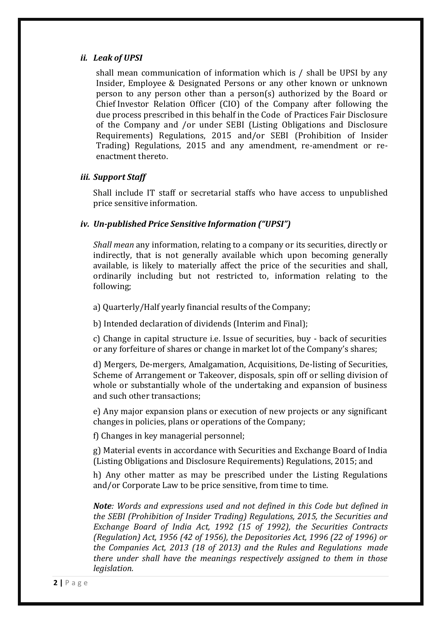#### *ii. Leak of UPSI*

shall mean communication of information which is / shall be UPSI by any Insider, Employee & Designated Persons or any other known or unknown person to any person other than a person(s) authorized by the Board or Chief Investor Relation Officer (CIO) of the Company after following the due process prescribed in this behalf in the Code of Practices Fair Disclosure of the Company and /or under SEBI (Listing Obligations and Disclosure Requirements) Regulations, 2015 and/or SEBI (Prohibition of Insider Trading) Regulations, 2015 and any amendment, re-amendment or reenactment thereto.

#### *iii. Support Staff*

Shall include IT staff or secretarial staffs who have access to unpublished price sensitive information.

#### *iv. Un-published Price Sensitive Information ("UPSI")*

*Shall mean* any information, relating to a company or its securities, directly or indirectly, that is not generally available which upon becoming generally available, is likely to materially affect the price of the securities and shall, ordinarily including but not restricted to, information relating to the following;

a) Quarterly/Half yearly financial results of the Company;

b) Intended declaration of dividends (Interim and Final);

c) Change in capital structure i.e. Issue of securities, buy - back of securities or any forfeiture of shares or change in market lot of the Company's shares;

d) Mergers, De-mergers, Amalgamation, Acquisitions, De-listing of Securities, Scheme of Arrangement or Takeover, disposals, spin off or selling division of whole or substantially whole of the undertaking and expansion of business and such other transactions;

e) Any major expansion plans or execution of new projects or any significant changes in policies, plans or operations of the Company;

f) Changes in key managerial personnel;

g) Material events in accordance with Securities and Exchange Board of India (Listing Obligations and Disclosure Requirements) Regulations, 2015; and

h) Any other matter as may be prescribed under the Listing Regulations and/or Corporate Law to be price sensitive, from time to time.

*Note: Words and expressions used and not defined in this Code but defined in the SEBI (Prohibition of Insider Trading) Regulations, 2015, the Securities and Exchange Board of India Act, 1992 (15 of 1992), the Securities Contracts (Regulation) Act, 1956 (42 of 1956), the Depositories Act, 1996 (22 of 1996) or the Companies Act, 2013 (18 of 2013) and the Rules and Regulations made there under shall have the meanings respectively assigned to them in those legislation.*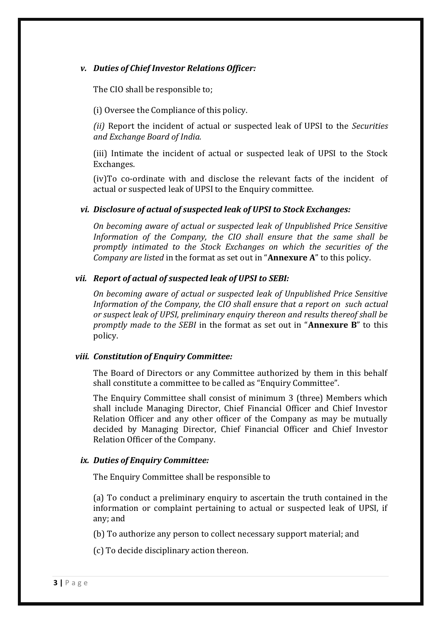### *v. Duties of Chief Investor Relations Officer:*

The CIO shall be responsible to;

(i) Oversee the Compliance of this policy.

*(ii)* Report the incident of actual or suspected leak of UPSI to the *Securities and Exchange Board of India.*

(iii) Intimate the incident of actual or suspected leak of UPSI to the Stock Exchanges.

(iv)To co-ordinate with and disclose the relevant facts of the incident of actual or suspected leak of UPSI to the Enquiry committee.

#### *vi. Disclosure of actual of suspected leak of UPSI to Stock Exchanges:*

*On becoming aware of actual or suspected leak of Unpublished Price Sensitive Information of the Company, the CIO shall ensure that the same shall be promptly intimated to the Stock Exchanges on which the securities of the Company are listed* in the format as set out in "**Annexure A**" to this policy.

#### *vii. Report of actual of suspected leak of UPSI to SEBI:*

*On becoming aware of actual or suspected leak of Unpublished Price Sensitive Information of the Company, the CIO shall ensure that a report on such actual or suspect leak of UPSI, preliminary enquiry thereon and results thereof shall be promptly made to the SEBI* in the format as set out in "**Annexure B**" to this policy.

#### *viii. Constitution of Enquiry Committee:*

The Board of Directors or any Committee authorized by them in this behalf shall constitute a committee to be called as "Enquiry Committee".

The Enquiry Committee shall consist of minimum 3 (three) Members which shall include Managing Director, Chief Financial Officer and Chief Investor Relation Officer and any other officer of the Company as may be mutually decided by Managing Director, Chief Financial Officer and Chief Investor Relation Officer of the Company.

#### *ix. Duties of Enquiry Committee:*

The Enquiry Committee shall be responsible to

(a) To conduct a preliminary enquiry to ascertain the truth contained in the information or complaint pertaining to actual or suspected leak of UPSI, if any; and

(b) To authorize any person to collect necessary support material; and

(c) To decide disciplinary action thereon.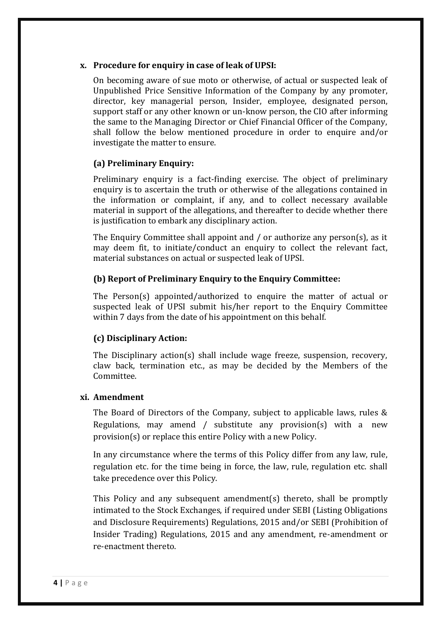### **x. Procedure for enquiry in case of leak of UPSI:**

On becoming aware of sue moto or otherwise, of actual or suspected leak of Unpublished Price Sensitive Information of the Company by any promoter, director, key managerial person, Insider, employee, designated person, support staff or any other known or un-know person, the CIO after informing the same to the Managing Director or Chief Financial Officer of the Company, shall follow the below mentioned procedure in order to enquire and/or investigate the matter to ensure.

# **(a) Preliminary Enquiry:**

Preliminary enquiry is a fact-finding exercise. The object of preliminary enquiry is to ascertain the truth or otherwise of the allegations contained in the information or complaint, if any, and to collect necessary available material in support of the allegations, and thereafter to decide whether there is justification to embark any disciplinary action.

The Enquiry Committee shall appoint and / or authorize any person(s), as it may deem fit, to initiate/conduct an enquiry to collect the relevant fact, material substances on actual or suspected leak of UPSI.

# **(b) Report of Preliminary Enquiry to the Enquiry Committee:**

The Person(s) appointed/authorized to enquire the matter of actual or suspected leak of UPSI submit his/her report to the Enquiry Committee within 7 days from the date of his appointment on this behalf.

# **(c) Disciplinary Action:**

The Disciplinary action(s) shall include wage freeze, suspension, recovery, claw back, termination etc., as may be decided by the Members of the Committee.

# **xi. Amendment**

The Board of Directors of the Company, subject to applicable laws, rules & Regulations, may amend / substitute any provision(s) with a new provision(s) or replace this entire Policy with a new Policy.

In any circumstance where the terms of this Policy differ from any law, rule, regulation etc. for the time being in force, the law, rule, regulation etc. shall take precedence over this Policy.

This Policy and any subsequent amendment(s) thereto, shall be promptly intimated to the Stock Exchanges, if required under SEBI (Listing Obligations and Disclosure Requirements) Regulations, 2015 and/or SEBI (Prohibition of Insider Trading) Regulations, 2015 and any amendment, re-amendment or re-enactment thereto.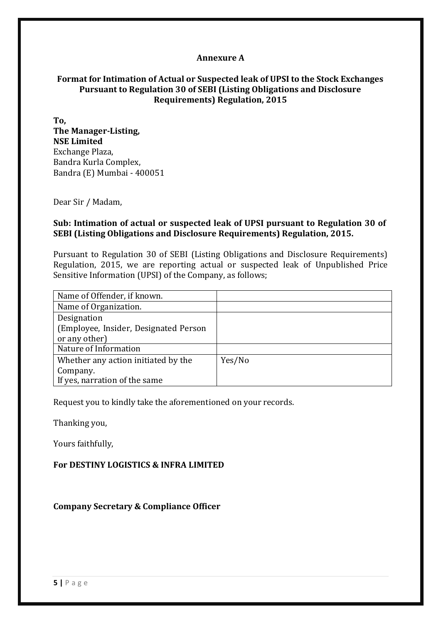#### **Annexure A**

### **Format for Intimation of Actual or Suspected leak of UPSI to the Stock Exchanges Pursuant to Regulation 30 of SEBI (Listing Obligations and Disclosure Requirements) Regulation, 2015**

**To, The Manager-Listing, NSE Limited** Exchange Plaza, Bandra Kurla Complex, Bandra (E) Mumbai - 400051

Dear Sir / Madam,

### **Sub: Intimation of actual or suspected leak of UPSI pursuant to Regulation 30 of SEBI (Listing Obligations and Disclosure Requirements) Regulation, 2015.**

Pursuant to Regulation 30 of SEBI (Listing Obligations and Disclosure Requirements) Regulation, 2015, we are reporting actual or suspected leak of Unpublished Price Sensitive Information (UPSI) of the Company, as follows;

| Name of Offender, if known.            |        |
|----------------------------------------|--------|
| Name of Organization.                  |        |
| Designation                            |        |
| (Employee, Insider, Designated Person) |        |
| or any other)                          |        |
| Nature of Information                  |        |
| Whether any action initiated by the    | Yes/No |
| Company.                               |        |
| If yes, narration of the same          |        |

Request you to kindly take the aforementioned on your records.

Thanking you,

Yours faithfully,

#### **For DESTINY LOGISTICS & INFRA LIMITED**

**Company Secretary & Compliance Officer**